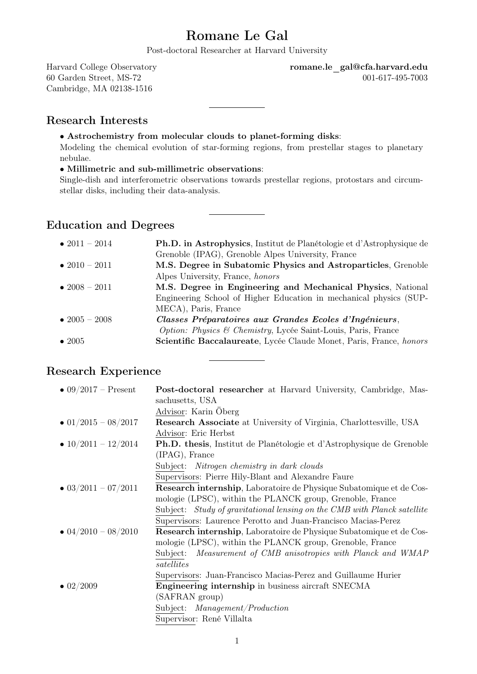# Romane Le Gal

Post-doctoral Researcher at Harvard University

Cambridge, MA 02138-1516

Harvard College Observatory **romane.le** gal@cfa.harvard.edu 60 Garden Street, MS-72 001-617-495-7003

#### Research Interests

• Astrochemistry from molecular clouds to planet-forming disks:

Modeling the chemical evolution of star-forming regions, from prestellar stages to planetary nebulae.

#### • Millimetric and sub-millimetric observations:

Single-dish and interferometric observations towards prestellar regions, protostars and circumstellar disks, including their data-analysis.

### Education and Degrees

| • $2011 - 2014$       | <b>Ph.D. in Astrophysics</b> , Institut de Planétologie et d'Astrophysique de |
|-----------------------|-------------------------------------------------------------------------------|
|                       | Grenoble (IPAG), Grenoble Alpes University, France                            |
| $\bullet$ 2010 – 2011 | M.S. Degree in Subatomic Physics and Astroparticles, Grenoble                 |
|                       | Alpes University, France, honors                                              |
| $\bullet$ 2008 – 2011 | M.S. Degree in Engineering and Mechanical Physics, National                   |
|                       | Engineering School of Higher Education in mechanical physics (SUP-            |
|                       | MECA), Paris, France                                                          |
| • $2005 - 2008$       | Classes Préparatoires aux Grandes Ecoles d'Ingénieurs,                        |
|                       | <i>Option: Physics &amp; Chemistry, Lycée Saint-Louis, Paris, France</i>      |
| $\bullet$ 2005        | Scientific Baccalaureate, Lycée Claude Monet, Paris, France, honors           |
|                       |                                                                               |

### Research Experience

| • $09/2017$ – Present       | <b>Post-doctoral researcher</b> at Harvard University, Cambridge, Mas-       |
|-----------------------------|------------------------------------------------------------------------------|
|                             | sachusetts, USA                                                              |
|                             | Advisor: Karin Öberg                                                         |
| $\bullet$ 01/2015 - 08/2017 | <b>Research Associate</b> at University of Virginia, Charlottesville, USA    |
|                             | Advisor: Eric Herbst                                                         |
| • $10/2011 - 12/2014$       | <b>Ph.D.</b> thesis, Institut de Planétologie et d'Astrophysique de Grenoble |
|                             | (IPAG), France                                                               |
|                             | Subject: Nitrogen chemistry in dark clouds                                   |
|                             | Supervisors: Pierre Hily-Blant and Alexandre Faure                           |
| $\bullet$ 03/2011 - 07/2011 | Research internship, Laboratoire de Physique Subatomique et de Cos-          |
|                             | mologie (LPSC), within the PLANCK group, Grenoble, France                    |
|                             | Subject: Study of gravitational lensing on the CMB with Planck satellite     |
|                             | Supervisors: Laurence Perotto and Juan-Francisco Macias-Perez                |
| $\bullet$ 04/2010 - 08/2010 | <b>Research internship</b> , Laboratoire de Physique Subatomique et de Cos-  |
|                             | mologie (LPSC), within the PLANCK group, Grenoble, France                    |
|                             | Subject: Measurement of CMB anisotropies with Planck and WMAP                |
|                             | satellites                                                                   |
|                             | Supervisors: Juan-Francisco Macias-Perez and Guillaume Hurier                |
| $\bullet$ 02/2009           | <b>Engineering internship in business aircraft SNECMA</b>                    |
|                             | (SAFRAN group)                                                               |
|                             | Subject: <i>Management/Production</i>                                        |
|                             | Supervisor: René Villalta                                                    |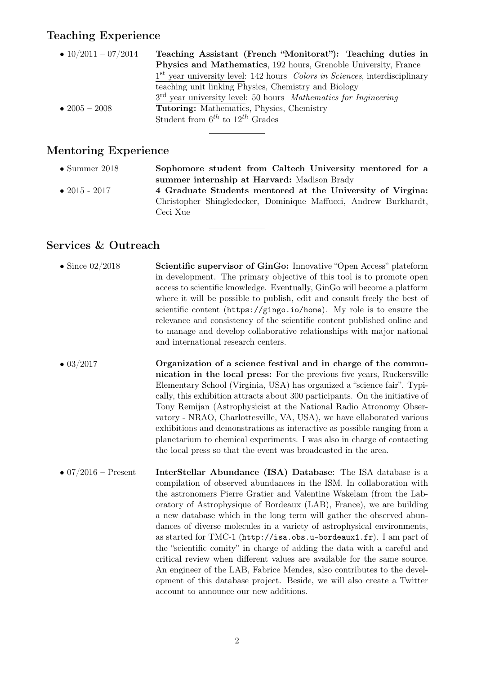#### Teaching Experience

| • $10/2011 - 07/2014$ | Teaching Assistant (French "Monitorat"): Teaching duties in                          |
|-----------------------|--------------------------------------------------------------------------------------|
|                       | <b>Physics and Mathematics</b> , 192 hours, Grenoble University, France              |
|                       | $1st$ year university level: 142 hours <i>Colors in Sciences</i> , interdisciplinary |
|                       | teaching unit linking Physics, Chemistry and Biology                                 |
|                       | 3 <sup>rd</sup> year university level: 50 hours <i>Mathematics for Inqineering</i>   |
| • 2005 – 2008         | <b>Tutoring:</b> Mathematics, Physics, Chemistry                                     |
|                       | Student from $6^{th}$ to $12^{th}$ Grades                                            |
|                       |                                                                                      |

### Mentoring Experience

- Summer 2018 Sophomore student from Caltech University mentored for a summer internship at Harvard: Madison Brady
- 2015 2017 4 Graduate Students mentored at the University of Virgina: Christopher Shingledecker, Dominique Maffucci, Andrew Burkhardt, Ceci Xue

### Services & Outreach

- Since 02/2018 Scientific supervisor of GinGo: Innovative "Open Access" plateform in development. The primary objective of this tool is to promote open access to scientific knowledge. Eventually, GinGo will become a platform where it will be possible to publish, edit and consult freely the best of scientific content (https://gingo.io/home). My role is to ensure the relevance and consistency of the scientific content published online and to manage and develop collaborative relationships with major national and international research centers.
- 03/2017 **Organization of a science festival and in charge of the commu**nication in the local press: For the previous five years, Ruckersville Elementary School (Virginia, USA) has organized a "science fair". Typically, this exhibition attracts about 300 participants. On the initiative of Tony Remijan (Astrophysicist at the National Radio Atronomy Observatory - NRAO, Charlottesville, VA, USA), we have ellaborated various exhibitions and demonstrations as interactive as possible ranging from a planetarium to chemical experiments. I was also in charge of contacting the local press so that the event was broadcasted in the area.
- 07/2016 Present InterStellar Abundance (ISA) Database: The ISA database is a compilation of observed abundances in the ISM. In collaboration with the astronomers Pierre Gratier and Valentine Wakelam (from the Laboratory of Astrophysique of Bordeaux (LAB), France), we are building a new database which in the long term will gather the observed abundances of diverse molecules in a variety of astrophysical environments, as started for TMC-1 (http://isa.obs.u-bordeaux1.fr). I am part of the "scientific comity" in charge of adding the data with a careful and critical review when different values are available for the same source. An engineer of the LAB, Fabrice Mendes, also contributes to the development of this database project. Beside, we will also create a Twitter account to announce our new additions.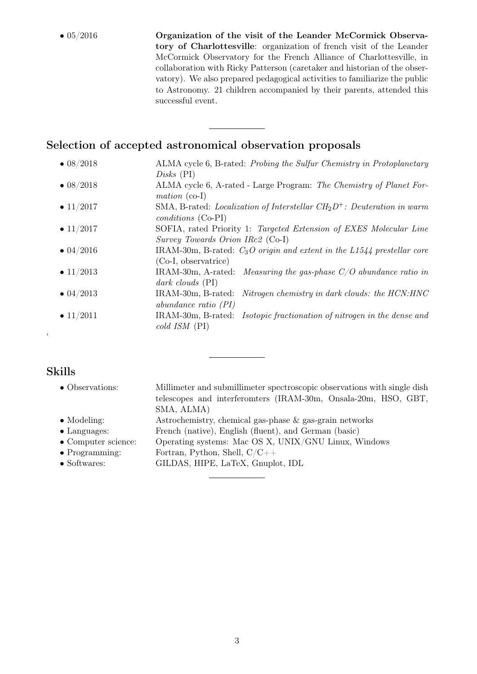• 05/2016 Organization of the visit of the Leander McCormick Observatory of Charlottesville: organization of french visit of the Leander McCormick Observatory for the French Alliance of Charlottesville, in collaboration with Ricky Patterson (caretaker and historian of the observatory). We also prepared pedagogical activities to familiarize the public to Astronomy. 21 children accompanied by their parents, attended this successful event.

#### Selection of accepted astronomical observation proposals

• 08/2018 ALMA cycle 6, B-rated: Probing the Sulfur Chemistry in Protoplanetary Disks (PI) • 08/2018 ALMA cycle 6, A-rated - Large Program: The Chemistry of Planet Formation (co-I) • 11/2017 SMA, B-rated: *Localization of Interstellar CH*<sub>2</sub> $D^+$ : *Deuteration in warm* conditions (Co-PI) • 11/2017 SOFIA, rated Priority 1: Targeted Extension of EXES Molecular Line Survey Towards Orion IRc2 (Co-I) • 04/2016 IRAM-30m, B-rated:  $C_3O$  origin and extent in the L1544 prestellar core (Co-I, observatrice) • 11/2013 IRAM-30m, A-rated: *Measuring the gas-phase*  $C/O$  *abundance ratio in* dark clouds (PI) • 04/2013 IRAM-30m, B-rated: Nitrogen chemistry in dark clouds: the HCN:HNC abundance ratio (PI) • 11/2011 IRAM-30m, B-rated: *Isotopic fractionation of nitrogen in the dense and* cold ISM (PI)

## Skills

 $\zeta$ 

| • Observations:             | Millimeter and submillimeter spectroscopic observations with single dish |
|-----------------------------|--------------------------------------------------------------------------|
|                             | telescopes and interferomters (IRAM-30m, Onsala-20m, HSO, GBT,           |
|                             | SMA, ALMA)                                                               |
| $\bullet$ Modeling:         | Astrochemistry, chemical gas-phase & gas-grain networks                  |
| $\bullet$ Languages:        | French (native), English (fluent), and German (basic)                    |
| $\bullet$ Computer science: | Operating systems: Mac OS X, UNIX/GNU Linux, Windows                     |
| $\bullet$ Programming:      | Fortran, Python, Shell, $C/C++$                                          |
| $\bullet$ Softwares:        | GILDAS, HIPE, LaTeX, Gnuplot, IDL                                        |
|                             |                                                                          |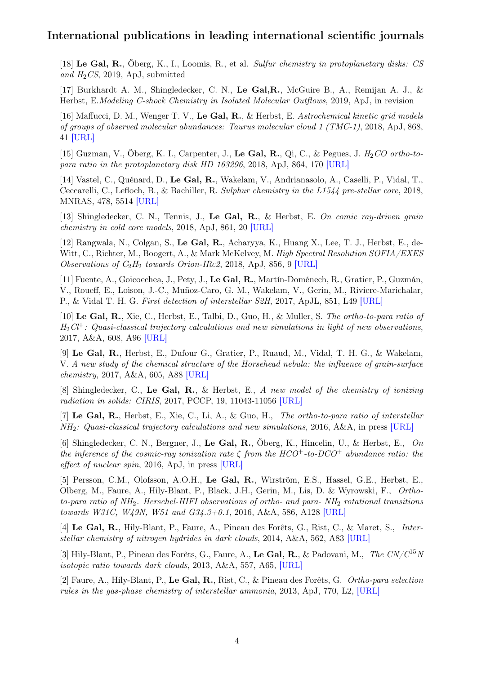#### International publications in leading international scientific journals

[18] Le Gal, R., Öberg, K., I., Loomis, R., et al. Sulfur chemistry in protoplanetary disks: CS and  $H_2CS$ , 2019, ApJ, submitted

[17] Burkhardt A. M., Shingledecker, C. N., Le Gal,R., McGuire B., A., Remijan A. J., & Herbst, E.Modeling C-shock Chemistry in Isolated Molecular Outflows, 2019, ApJ, in revision

[16] Maffucci, D. M., Wenger T. V., Le Gal, R., & Herbst, E. Astrochemical kinetic grid models of groups of observed molecular abundances: Taurus molecular cloud 1 (TMC-1), 2018, ApJ, 868, 41 [\[URL\]](https://arxiv.org/pdf/1810.10174.pdf)

[15] Guzman, V., Öberg, K. I., Carpenter, J., Le Gal, R., Qi, C., & Pegues, J.  $H_2CO$  ortho-topara ratio in the protoplanetary disk HD 163296, 2018, ApJ, 864, 170 [\[URL\]](http://iopscience.iop.org/article/10.3847/1538-4357/aad778/pdf)

[14] Vastel, C., Quénard, D., Le Gal, R., Wakelam, V., Andrianasolo, A., Caselli, P., Vidal, T., Ceccarelli, C., Lefloch, B., & Bachiller, R. Sulphur chemistry in the L1544 pre-stellar core, 2018, MNRAS, 478, 5514 [\[URL\]](https://academic.oup.com/mnras/article-abstract/478/4/5514/4999933?redirectedFrom=PDF)

[13] Shingledecker, C. N., Tennis, J., Le Gal, R., & Herbst, E. On comic ray-driven grain chemistry in cold core models, 2018, ApJ, 861, 20 [\[URL\]](http://iopscience.iop.org/article/10.3847/1538-4357/aac5ee/pdf)

[12] Rangwala, N., Colgan, S., Le Gal, R., Acharyya, K., Huang X., Lee, T. J., Herbst, E., de-Witt, C., Richter, M., Boogert, A., & Mark McKelvey, M. High Spectral Resolution SOFIA/EXES Observations of  $C_2H_2$  towards Orion-IRc2, 2018, ApJ, 856, 9 [\[URL\]](http://iopscience.iop.org/article/10.3847/1538-4357/aaab66/pdf)

[11] Fuente, A., Goicoechea, J., Pety, J., Le Gal, R., Martín-Doménech, R., Gratier, P., Guzmán, V., Roueff, E., Loison, J.-C., Muñoz-Caro, G. M., Wakelam, V., Gerin, M., Riviere-Marichalar, P., & Vidal T. H. G. First detection of interstellar S2H, 2017, ApJL, 851, L49 [\[URL\]](http://iopscience.iop.org/article/10.3847/2041-8213/aaa01b/pdf)

[10] Le Gal, R., Xie, C., Herbst, E., Talbi, D., Guo, H., & Muller, S. The ortho-to-para ratio of  $H_2Cl^+$ : Quasi-classical trajectory calculations and new simulations in light of new observations, 2017, A&A, 608, A96 [\[URL\]](https://www.aanda.org/articles/aa/pdf/2017/12/aa31566-17.pdf)

[9] Le Gal, R., Herbst, E., Dufour G., Gratier, P., Ruaud, M., Vidal, T. H. G., & Wakelam, V. A new study of the chemical structure of the Horsehead nebula: the influence of grain-surface chemistry, 2017, A&A, 605, A88 [\[URL\]](https://www.aanda.org/articles/aa/pdf/2017/09/aa30980-17.pdf)

[8] Shingledecker, C., Le Gal, R., & Herbst, E., A new model of the chemistry of ionizing radiation in solids: CIRIS, 2017, PCCP, 19, 11043-11056 [\[URL\]](http://pubs.rsc.org/en/content/articlelanding/2014/cp/c7cp01472d#!divAbstract)

[7] Le Gal, R., Herbst, E., Xie, C., Li, A., & Guo, H., The ortho-to-para ratio of interstellar NH2: Quasi-classical trajectory calculations and new simulations, 2016, A&A, in press [\[URL\]](http://arxiv.org/pdf/1609.02485v1.pdf)

[6] Shingledecker, C. N., Bergner, J., Le Gal, R., Öberg, K., Hincelin, U., & Herbst, E., On the inference of the cosmic-ray ionization rate  $\zeta$  from the HCO<sup>+</sup>-to-DCO<sup>+</sup> abundance ratio: the effect of nuclear spin, 2016, ApJ, in press [\[URL\]](http://iopscience.iop.org/article/10.3847/0004-637X/830/2/151/pdf)

[5] Persson, C.M., Olofsson, A.O.H., Le Gal, R., Wirström, E.S., Hassel, G.E., Herbst, E., Olberg, M., Faure, A., Hily-Blant, P., Black, J.H., Gerin, M., Lis, D. & Wyrowski, F., Orthoto-para ratio of  $NH_2$ . Herschel-HIFI observations of ortho- and para-  $NH_2$  rotational transitions towards W31C, W49N, W51 and G34.3+0.1, 2016, A&A, 586, A128 [\[URL\]](http://www.aanda.org/articles/aa/pdf/2016/02/aa26781-15.pdf)

[4] Le Gal, R., Hily-Blant, P., Faure, A., Pineau des Forêts, G., Rist, C., & Maret, S., Interstellar chemistry of nitrogen hydrides in dark clouds, 2014, A&A, 562, A83 [\[URL\]](http://www.aanda.org/articles/aa/pdf/2014/02/aa22386-13.pdf)

[3] Hily-Blant, P., Pineau des Forêts, G., Faure, A., Le Gal, R., & Padovani, M., The  $CN/C^{15}N$ isotopic ratio towards dark clouds, 2013, A&A, 557, A65, [\[URL\]](http://www.aanda.org/articles/aa/pdf/2013/09/aa21364-13.pdf)

[2] Faure, A., Hily-Blant, P., Le Gal, R., Rist, C., & Pineau des Forêts, G. Ortho-para selection rules in the gas-phase chemistry of interstellar ammonia, 2013, ApJ, 770, L2, [\[URL\]](http://iopscience.iop.org/2041-8205/770/1/L2/pdf/apjl_770_1_2.pdf)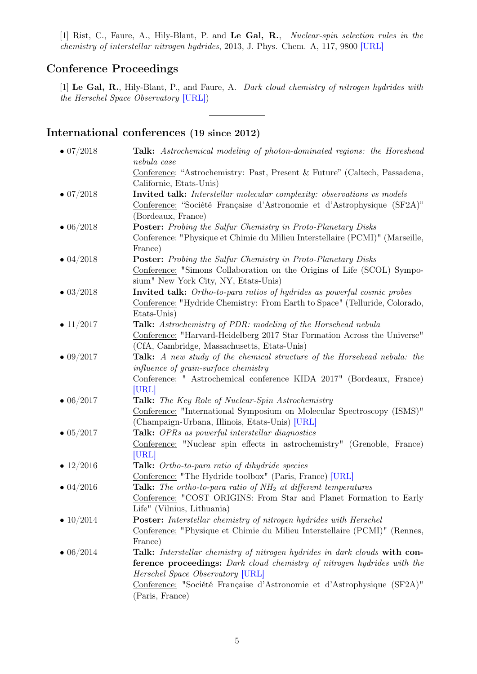[1] Rist, C., Faure, A., Hily-Blant, P. and Le Gal, R., Nuclear-spin selection rules in the chemistry of interstellar nitrogen hydrides, 2013, J. Phys. Chem. A, 117, 9800 [\[URL\]](http://pubs.acs.org/doi/pdf/10.1021/jp312640a)

### Conference Proceedings

[1] Le Gal, R., Hily-Blant, P., and Faure, A. Dark cloud chemistry of nitrogen hydrides with the Herschel Space Observatory [\[URL\]\)](http://sf2a.eu/proceedings/2014/2014sf2a.conf..0397L.pdf)

## International conferences (19 since 2012)

| $\bullet$ 07/2018 | <b>Talk:</b> Astrochemical modeling of photon-dominated regions: the Horeshead           |
|-------------------|------------------------------------------------------------------------------------------|
|                   | nebula case<br>Conference: "Astrochemistry: Past, Present & Future" (Caltech, Passadena, |
|                   | Californie, Etats-Unis)                                                                  |
| $\bullet$ 07/2018 | Invited talk: Interstellar molecular complexity: observations vs models                  |
|                   | Conference: "Société Française d'Astronomie et d'Astrophysique (SF2A)"                   |
|                   | (Bordeaux, France)                                                                       |
| $\bullet$ 06/2018 | <b>Poster:</b> Probing the Sulfur Chemistry in Proto-Planetary Disks                     |
|                   | Conference: "Physique et Chimie du Milieu Interstellaire (PCMI)" (Marseille,             |
|                   | France)                                                                                  |
| $\bullet$ 04/2018 | <b>Poster:</b> Probing the Sulfur Chemistry in Proto-Planetary Disks                     |
|                   | Conference: "Simons Collaboration on the Origins of Life (SCOL) Sympo-                   |
|                   | sium" New York City, NY, Etats-Unis)                                                     |
| $\bullet$ 03/2018 | <b>Invited talk:</b> Ortho-to-para ratios of hydrides as powerful cosmic probes          |
|                   | Conference: "Hydride Chemistry: From Earth to Space" (Telluride, Colorado,               |
|                   | Etats-Unis)                                                                              |
| • $11/2017$       | Talk: Astrochemistry of PDR: modeling of the Horsehead nebula                            |
|                   | Conference: "Harvard-Heidelberg 2017 Star Formation Across the Universe"                 |
|                   | (CfA, Cambridge, Massachusetts, Etats-Unis)                                              |
| $\bullet$ 09/2017 | Talk: A new study of the chemical structure of the Horsehead nebula: the                 |
|                   | <i>influence of grain-surface chemistry</i>                                              |
|                   | Conference: " Astrochemical conference KIDA 2017" (Bordeaux, France)<br>[URL]            |
| $\bullet$ 06/2017 | <b>Talk:</b> The Key Role of Nuclear-Spin Astrochemistry                                 |
|                   | Conference: "International Symposium on Molecular Spectroscopy (ISMS)"                   |
|                   | (Champaign-Urbana, Illinois, Etats-Unis) [URL]                                           |
| $\bullet$ 05/2017 | <b>Talk:</b> OPRs as powerful interstellar diagnostics                                   |
|                   | Conference: "Nuclear spin effects in astrochemistry" (Grenoble, France)                  |
|                   | [URL]                                                                                    |
| • $12/2016$       | Talk: Ortho-to-para ratio of dihydride species                                           |
|                   | Conference: "The Hydride toolbox" (Paris, France) [URL]                                  |
| $\bullet$ 04/2016 | <b>Talk:</b> The ortho-to-para ratio of $NH_2$ at different temperatures                 |
|                   | Conference: "COST ORIGINS: From Star and Planet Formation to Early                       |
|                   | Life" (Vilnius, Lithuania)                                                               |
| • $10/2014$       | <b>Poster:</b> Interstellar chemistry of nitrogen hydrides with Herschel                 |
|                   | Conference: "Physique et Chimie du Milieu Interstellaire (PCMI)" (Rennes,                |
|                   | France)                                                                                  |
| $\bullet$ 06/2014 | <b>Talk:</b> Interstellar chemistry of nitrogen hydrides in dark clouds with con-        |
|                   | <b>ference proceedings:</b> Dark cloud chemistry of nitrogen hydrides with the           |
|                   | Herschel Space Observatory [URL]                                                         |
|                   | Conference: "Société Française d'Astronomie et d'Astrophysique (SF2A)"                   |
|                   | (Paris, France)                                                                          |